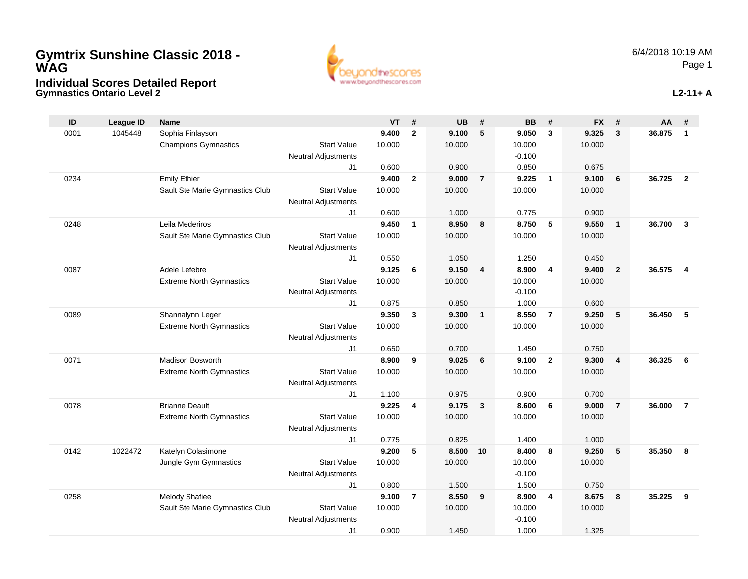## **Gymnastics Ontario Level 2 Individual Scores Detailed Report Gymtrix Sunshine Classic 2018 - WAG**



**L2-11+ A**

| ID   | <b>League ID</b> | Name                            |                            | <b>VT</b>      | #              | <b>UB</b>      | #              | <b>BB</b>      | #              | <b>FX</b>      | #              | AA     | #                       |
|------|------------------|---------------------------------|----------------------------|----------------|----------------|----------------|----------------|----------------|----------------|----------------|----------------|--------|-------------------------|
| 0001 | 1045448          | Sophia Finlayson                |                            | 9.400          | $\overline{2}$ | 9.100          | 5              | 9.050          | $\mathbf{3}$   | 9.325          | 3              | 36.875 | $\mathbf{1}$            |
|      |                  | <b>Champions Gymnastics</b>     | <b>Start Value</b>         | 10.000         |                | 10.000         |                | 10.000         |                | 10.000         |                |        |                         |
|      |                  |                                 | <b>Neutral Adjustments</b> |                |                |                |                | $-0.100$       |                |                |                |        |                         |
|      |                  |                                 | J1                         | 0.600          |                | 0.900          |                | 0.850          |                | 0.675          |                |        |                         |
| 0234 |                  | <b>Emily Ethier</b>             |                            | 9.400          | $\mathbf{2}$   | 9.000          | $\overline{7}$ | 9.225          | $\overline{1}$ | 9.100          | 6              | 36.725 | $\overline{2}$          |
|      |                  | Sault Ste Marie Gymnastics Club | <b>Start Value</b>         | 10.000         |                | 10.000         |                | 10.000         |                | 10.000         |                |        |                         |
|      |                  |                                 | <b>Neutral Adjustments</b> |                |                |                |                |                |                |                |                |        |                         |
|      |                  |                                 | J1                         | 0.600          |                | 1.000          |                | 0.775          |                | 0.900          |                |        |                         |
| 0248 |                  | Leila Mederiros                 |                            | 9.450          | $\mathbf{1}$   | 8.950          | 8              | 8.750          | 5              | 9.550          | $\overline{1}$ | 36.700 | $\mathbf{3}$            |
|      |                  | Sault Ste Marie Gymnastics Club | <b>Start Value</b>         | 10.000         |                | 10.000         |                | 10.000         |                | 10.000         |                |        |                         |
|      |                  |                                 | <b>Neutral Adjustments</b> |                |                |                |                |                |                |                |                |        |                         |
|      |                  |                                 | J1                         | 0.550          |                | 1.050          |                | 1.250          |                | 0.450          |                |        |                         |
| 0087 |                  | Adele Lefebre                   |                            | 9.125          | 6              | 9.150          | $\overline{4}$ | 8.900          | $\overline{4}$ | 9.400          | $\overline{2}$ | 36.575 | $\overline{\mathbf{4}}$ |
|      |                  | <b>Extreme North Gymnastics</b> | <b>Start Value</b>         | 10.000         |                | 10.000         |                | 10.000         |                | 10.000         |                |        |                         |
|      |                  |                                 | <b>Neutral Adjustments</b> |                |                |                |                | $-0.100$       |                |                |                |        |                         |
|      |                  |                                 | J1                         | 0.875          |                | 0.850          |                | 1.000          |                | 0.600          |                |        |                         |
| 0089 |                  | Shannalynn Leger                |                            | 9.350          | 3              | 9.300          | $\mathbf{1}$   | 8.550          | $\overline{7}$ | 9.250          | 5              | 36.450 | 5                       |
|      |                  | <b>Extreme North Gymnastics</b> | <b>Start Value</b>         | 10.000         |                | 10.000         |                | 10.000         |                | 10.000         |                |        |                         |
|      |                  |                                 | Neutral Adjustments        |                |                |                |                |                |                |                |                |        |                         |
|      |                  |                                 | J <sub>1</sub>             | 0.650          |                | 0.700          |                | 1.450          |                | 0.750          |                |        |                         |
| 0071 |                  | Madison Bosworth                |                            | 8.900          | 9              | 9.025          | 6              | 9.100          | $\overline{2}$ | 9.300          | $\overline{4}$ | 36.325 | 6                       |
|      |                  | <b>Extreme North Gymnastics</b> | <b>Start Value</b>         | 10.000         |                | 10.000         |                | 10.000         |                | 10.000         |                |        |                         |
|      |                  |                                 | Neutral Adjustments        |                |                |                |                |                |                |                |                |        |                         |
| 0078 |                  | <b>Brianne Deault</b>           | J1                         | 1.100<br>9.225 |                | 0.975<br>9.175 |                | 0.900<br>8.600 |                | 0.700<br>9.000 | $\overline{7}$ | 36.000 | $\overline{7}$          |
|      |                  | <b>Extreme North Gymnastics</b> | <b>Start Value</b>         | 10.000         | 4              | 10.000         | $\mathbf{3}$   | 10.000         | 6              | 10.000         |                |        |                         |
|      |                  |                                 | Neutral Adjustments        |                |                |                |                |                |                |                |                |        |                         |
|      |                  |                                 | J1                         | 0.775          |                | 0.825          |                | 1.400          |                | 1.000          |                |        |                         |
| 0142 | 1022472          | Katelyn Colasimone              |                            | 9.200          | 5              | 8.500          | 10             | 8.400          | 8              | 9.250          | 5              | 35.350 | 8                       |
|      |                  | Jungle Gym Gymnastics           | <b>Start Value</b>         | 10.000         |                | 10.000         |                | 10.000         |                | 10.000         |                |        |                         |
|      |                  |                                 | Neutral Adjustments        |                |                |                |                | $-0.100$       |                |                |                |        |                         |
|      |                  |                                 | J1                         | 0.800          |                | 1.500          |                | 1.500          |                | 0.750          |                |        |                         |
| 0258 |                  | Melody Shafiee                  |                            | 9.100          | $\overline{7}$ | 8.550          | 9              | 8.900          | 4              | 8.675          | 8              | 35.225 | 9                       |
|      |                  | Sault Ste Marie Gymnastics Club | <b>Start Value</b>         | 10.000         |                | 10.000         |                | 10.000         |                | 10.000         |                |        |                         |
|      |                  |                                 | Neutral Adjustments        |                |                |                |                | $-0.100$       |                |                |                |        |                         |
|      |                  |                                 | J <sub>1</sub>             | 0.900          |                | 1.450          |                | 1.000          |                | 1.325          |                |        |                         |
|      |                  |                                 |                            |                |                |                |                |                |                |                |                |        |                         |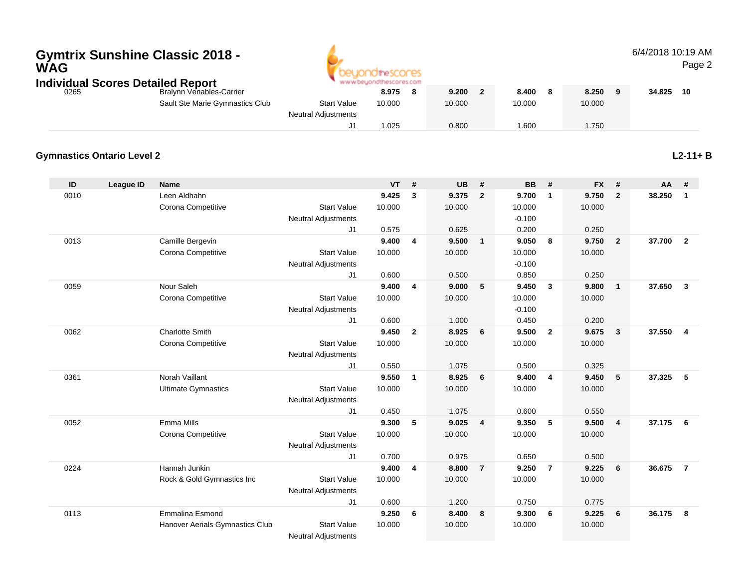# **Gymtrix Sunshine Classic 2018 - WAG**



#### 6/4/2018 10:19 AMPage 2

| Individual Scores Detailed Report | beyondthescores.com             |                            |        |  |        |        |        |        |    |
|-----------------------------------|---------------------------------|----------------------------|--------|--|--------|--------|--------|--------|----|
| 0265                              | Bralynn Venables-Carrier        |                            | 8.975  |  | 9.200  | 8.400  | 8.250  | 34.825 | 10 |
|                                   | Sault Ste Marie Gymnastics Club | <b>Start Value</b>         | 10.000 |  | 10.000 | 10.000 | 10.000 |        |    |
|                                   |                                 | <b>Neutral Adjustments</b> |        |  |        |        |        |        |    |
|                                   |                                 |                            | .025   |  | 0.800  | .600   | 1.750  |        |    |

#### **Gymnastics Ontario Level 2**

**L2-11+ B**

| ID   | League ID | <b>Name</b>                     |                            | <b>VT</b> | #              | <b>UB</b> | #              | <b>BB</b> | #                       | <b>FX</b> | #                       | AA     | #                       |
|------|-----------|---------------------------------|----------------------------|-----------|----------------|-----------|----------------|-----------|-------------------------|-----------|-------------------------|--------|-------------------------|
| 0010 |           | Leen Aldhahn                    |                            | 9.425     | 3              | 9.375     | $\overline{2}$ | 9.700     | $\mathbf{1}$            | 9.750     | $\overline{2}$          | 38.250 | $\overline{1}$          |
|      |           | Corona Competitive              | <b>Start Value</b>         | 10.000    |                | 10.000    |                | 10.000    |                         | 10.000    |                         |        |                         |
|      |           |                                 | <b>Neutral Adjustments</b> |           |                |           |                | $-0.100$  |                         |           |                         |        |                         |
|      |           |                                 | J <sub>1</sub>             | 0.575     |                | 0.625     |                | 0.200     |                         | 0.250     |                         |        |                         |
| 0013 |           | Camille Bergevin                |                            | 9.400     | 4              | 9.500     | $\mathbf{1}$   | 9.050     | 8                       | 9.750     | $\overline{\mathbf{2}}$ | 37.700 | $\overline{\mathbf{2}}$ |
|      |           | Corona Competitive              | <b>Start Value</b>         | 10.000    |                | 10.000    |                | 10.000    |                         | 10.000    |                         |        |                         |
|      |           |                                 | <b>Neutral Adjustments</b> |           |                |           |                | $-0.100$  |                         |           |                         |        |                         |
|      |           |                                 | J <sub>1</sub>             | 0.600     |                | 0.500     |                | 0.850     |                         | 0.250     |                         |        |                         |
| 0059 |           | Nour Saleh                      |                            | 9.400     | 4              | 9.000     | 5              | 9.450     | 3                       | 9.800     | $\overline{1}$          | 37.650 | $\overline{\mathbf{3}}$ |
|      |           | Corona Competitive              | <b>Start Value</b>         | 10.000    |                | 10.000    |                | 10.000    |                         | 10.000    |                         |        |                         |
|      |           |                                 | <b>Neutral Adjustments</b> |           |                |           |                | $-0.100$  |                         |           |                         |        |                         |
|      |           |                                 | J <sub>1</sub>             | 0.600     |                | 1.000     |                | 0.450     |                         | 0.200     |                         |        |                         |
| 0062 |           | <b>Charlotte Smith</b>          |                            | 9.450     | $\overline{2}$ | 8.925     | 6              | 9.500     | $\overline{2}$          | 9.675     | $\overline{\mathbf{3}}$ | 37.550 | $\overline{4}$          |
|      |           | Corona Competitive              | <b>Start Value</b>         | 10.000    |                | 10.000    |                | 10.000    |                         | 10.000    |                         |        |                         |
|      |           |                                 | <b>Neutral Adjustments</b> |           |                |           |                |           |                         |           |                         |        |                         |
|      |           |                                 | J <sub>1</sub>             | 0.550     |                | 1.075     |                | 0.500     |                         | 0.325     |                         |        |                         |
| 0361 |           | Norah Vaillant                  |                            | 9.550     | $\mathbf{1}$   | 8.925     | 6              | 9.400     | $\overline{\mathbf{4}}$ | 9.450     | 5                       | 37.325 | - 5                     |
|      |           | <b>Ultimate Gymnastics</b>      | <b>Start Value</b>         | 10.000    |                | 10.000    |                | 10.000    |                         | 10.000    |                         |        |                         |
|      |           |                                 | <b>Neutral Adjustments</b> |           |                |           |                |           |                         |           |                         |        |                         |
|      |           |                                 | J1                         | 0.450     |                | 1.075     |                | 0.600     |                         | 0.550     |                         |        |                         |
| 0052 |           | Emma Mills                      |                            | 9.300     | 5              | 9.025     | 4              | 9.350     | 5                       | 9.500     | $\overline{4}$          | 37.175 | - 6                     |
|      |           | Corona Competitive              | <b>Start Value</b>         | 10.000    |                | 10.000    |                | 10.000    |                         | 10.000    |                         |        |                         |
|      |           |                                 | <b>Neutral Adjustments</b> |           |                |           |                |           |                         |           |                         |        |                         |
|      |           |                                 | J <sub>1</sub>             | 0.700     |                | 0.975     |                | 0.650     |                         | 0.500     |                         |        |                         |
| 0224 |           | Hannah Junkin                   |                            | 9.400     | 4              | 8.800     | $\overline{7}$ | 9.250     | $\overline{7}$          | 9.225     | 6                       | 36.675 | $\overline{7}$          |
|      |           | Rock & Gold Gymnastics Inc      | <b>Start Value</b>         | 10.000    |                | 10.000    |                | 10.000    |                         | 10.000    |                         |        |                         |
|      |           |                                 | <b>Neutral Adjustments</b> |           |                |           |                |           |                         |           |                         |        |                         |
|      |           |                                 | J <sub>1</sub>             | 0.600     |                | 1.200     |                | 0.750     |                         | 0.775     |                         |        |                         |
| 0113 |           | <b>Emmalina Esmond</b>          |                            | 9.250     | 6              | 8.400     | 8              | 9.300     | 6                       | 9.225     | 6                       | 36.175 | 8                       |
|      |           | Hanover Aerials Gymnastics Club | <b>Start Value</b>         | 10.000    |                | 10.000    |                | 10.000    |                         | 10.000    |                         |        |                         |
|      |           |                                 | <b>Neutral Adjustments</b> |           |                |           |                |           |                         |           |                         |        |                         |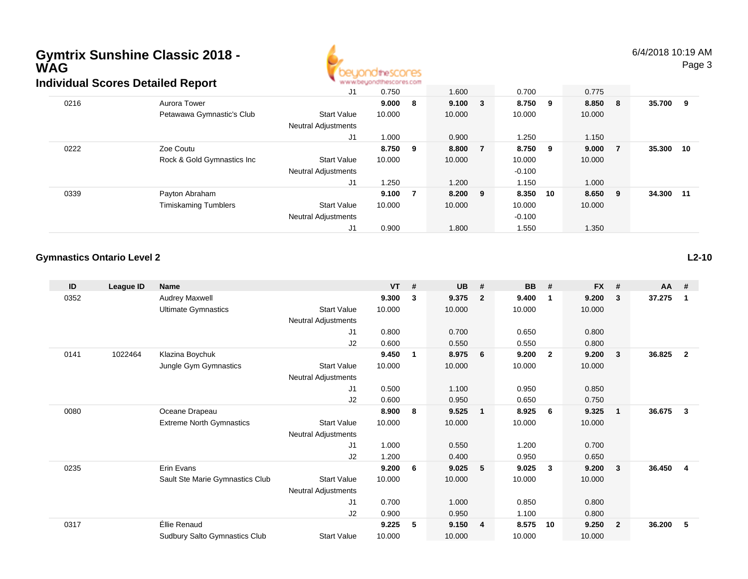### **Gymtrix Sunshine Classic 2018 - WAGIndividual Scores Detailed Report**



6/4/2018 10:19 AMPage 3

|      | arriagar oborce Detailea Report |                            |         |   |              |          |        |     |        |     |
|------|---------------------------------|----------------------------|---------|---|--------------|----------|--------|-----|--------|-----|
|      |                                 | J1                         | 0.750   |   | 1.600        | 0.700    | 0.775  |     |        |     |
| 0216 | Aurora Tower                    |                            | 9.000   | 8 | $9.100 \t 3$ | 8.750 9  | 8.850  | - 8 | 35.700 | 9   |
|      | Petawawa Gymnastic's Club       | <b>Start Value</b>         | 10.000  |   | 10.000       | 10.000   | 10.000 |     |        |     |
|      |                                 | <b>Neutral Adjustments</b> |         |   |              |          |        |     |        |     |
|      |                                 | J1                         | 1.000   |   | 0.900        | 1.250    | 1.150  |     |        |     |
| 0222 | Zoe Coutu                       |                            | 8.750 9 |   | 8.800 7      | 8.750 9  | 9.000  | - 7 | 35.300 | 10  |
|      | Rock & Gold Gymnastics Inc      | <b>Start Value</b>         | 10.000  |   | 10.000       | 10.000   | 10.000 |     |        |     |
|      |                                 | <b>Neutral Adjustments</b> |         |   |              | $-0.100$ |        |     |        |     |
|      |                                 | J1                         | 1.250   |   | 1.200        | 1.150    | 1.000  |     |        |     |
| 0339 | Payton Abraham                  |                            | 9.100   | 7 | 8.200 9      | 8.350 10 | 8.650  | - 9 | 34.300 | -11 |
|      | <b>Timiskaming Tumblers</b>     | <b>Start Value</b>         | 10.000  |   | 10.000       | 10.000   | 10.000 |     |        |     |
|      |                                 | <b>Neutral Adjustments</b> |         |   |              | $-0.100$ |        |     |        |     |
|      |                                 | J1                         | 0.900   |   | 1.800        | 1.550    | 1.350  |     |        |     |

#### **Gymnastics Ontario Level 2**

| ID   | League ID | <b>Name</b>                          |                            | <b>VT</b> | #            | <b>UB</b> | #              | <b>BB</b> | #              | <b>FX</b> | #              | <b>AA</b> | #              |
|------|-----------|--------------------------------------|----------------------------|-----------|--------------|-----------|----------------|-----------|----------------|-----------|----------------|-----------|----------------|
| 0352 |           | Audrey Maxwell                       |                            | 9.300     | 3            | 9.375     | $\overline{2}$ | 9.400     | $\mathbf 1$    | 9.200     | 3              | 37.275    | -1             |
|      |           | <b>Ultimate Gymnastics</b>           | <b>Start Value</b>         | 10.000    |              | 10.000    |                | 10.000    |                | 10.000    |                |           |                |
|      |           |                                      | Neutral Adjustments        |           |              |           |                |           |                |           |                |           |                |
|      |           |                                      | J1                         | 0.800     |              | 0.700     |                | 0.650     |                | 0.800     |                |           |                |
|      |           |                                      | J2                         | 0.600     |              | 0.550     |                | 0.550     |                | 0.800     |                |           |                |
| 0141 | 1022464   | Klazina Boychuk                      |                            | 9.450     | $\mathbf{1}$ | 8.975     | 6              | 9.200     | $\overline{2}$ | 9.200     | 3              | 36.825    | $\overline{2}$ |
|      |           | Jungle Gym Gymnastics                | <b>Start Value</b>         | 10.000    |              | 10.000    |                | 10.000    |                | 10.000    |                |           |                |
|      |           |                                      | <b>Neutral Adjustments</b> |           |              |           |                |           |                |           |                |           |                |
|      |           |                                      | J1                         | 0.500     |              | 1.100     |                | 0.950     |                | 0.850     |                |           |                |
|      |           |                                      | J2                         | 0.600     |              | 0.950     |                | 0.650     |                | 0.750     |                |           |                |
| 0080 |           | Oceane Drapeau                       |                            | 8.900     | 8            | 9.525     | $\overline{1}$ | 8.925     | 6              | 9.325     | $\overline{1}$ | 36.675    | 3              |
|      |           | <b>Extreme North Gymnastics</b>      | <b>Start Value</b>         | 10.000    |              | 10.000    |                | 10.000    |                | 10.000    |                |           |                |
|      |           |                                      | <b>Neutral Adjustments</b> |           |              |           |                |           |                |           |                |           |                |
|      |           |                                      | J1                         | 1.000     |              | 0.550     |                | 1.200     |                | 0.700     |                |           |                |
|      |           |                                      | J2                         | 1.200     |              | 0.400     |                | 0.950     |                | 0.650     |                |           |                |
| 0235 |           | Erin Evans                           |                            | 9.200     | 6            | 9.025     | 5              | 9.025     | $\mathbf{3}$   | 9.200     | 3              | 36.450    | 4              |
|      |           | Sault Ste Marie Gymnastics Club      | <b>Start Value</b>         | 10.000    |              | 10.000    |                | 10.000    |                | 10.000    |                |           |                |
|      |           |                                      | <b>Neutral Adjustments</b> |           |              |           |                |           |                |           |                |           |                |
|      |           |                                      | J1                         | 0.700     |              | 1.000     |                | 0.850     |                | 0.800     |                |           |                |
|      |           |                                      | J2                         | 0.900     |              | 0.950     |                | 1.100     |                | 0.800     |                |           |                |
| 0317 |           | Éllie Renaud                         |                            | 9.225     | 5            | 9.150     | $\overline{4}$ | 8.575     | 10             | 9.250     | $\overline{2}$ | 36.200    | 5              |
|      |           | <b>Sudbury Salto Gymnastics Club</b> | <b>Start Value</b>         | 10.000    |              | 10.000    |                | 10.000    |                | 10.000    |                |           |                |
|      |           |                                      |                            |           |              |           |                |           |                |           |                |           |                |

**L2-10**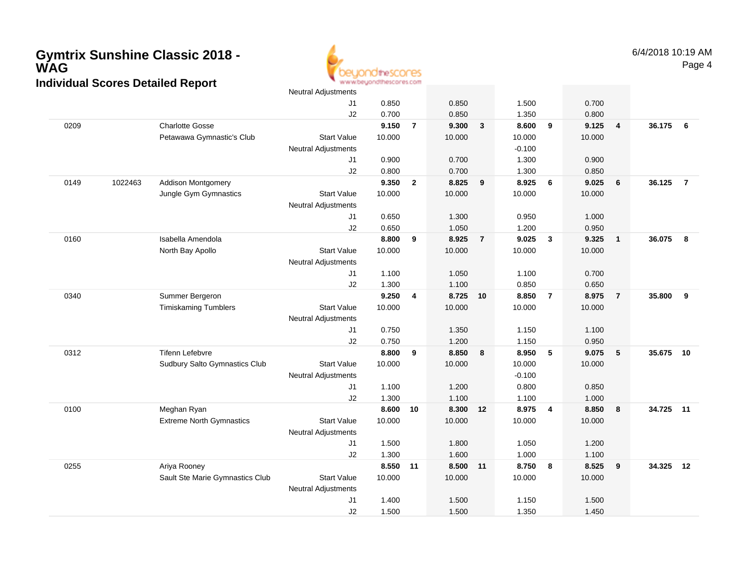### **Gymtrix Sunshine Classic 2018 - WAGIndividual Scores Detailed Report**



|      |         |                                 | <b>Neutral Adjustments</b> |        |                         |        |                |          |                |        |                 |        |                |
|------|---------|---------------------------------|----------------------------|--------|-------------------------|--------|----------------|----------|----------------|--------|-----------------|--------|----------------|
|      |         |                                 | J1                         | 0.850  |                         | 0.850  |                | 1.500    |                | 0.700  |                 |        |                |
|      |         |                                 | J <sub>2</sub>             | 0.700  |                         | 0.850  |                | 1.350    |                | 0.800  |                 |        |                |
| 0209 |         | <b>Charlotte Gosse</b>          |                            | 9.150  | $\overline{7}$          | 9.300  | $\mathbf{3}$   | 8.600    | 9              | 9.125  | $\overline{4}$  | 36.175 | 6              |
|      |         | Petawawa Gymnastic's Club       | <b>Start Value</b>         | 10.000 |                         | 10.000 |                | 10.000   |                | 10.000 |                 |        |                |
|      |         |                                 | <b>Neutral Adjustments</b> |        |                         |        |                | $-0.100$ |                |        |                 |        |                |
|      |         |                                 | J1                         | 0.900  |                         | 0.700  |                | 1.300    |                | 0.900  |                 |        |                |
|      |         |                                 | J2                         | 0.800  |                         | 0.700  |                | 1.300    |                | 0.850  |                 |        |                |
| 0149 | 1022463 | <b>Addison Montgomery</b>       |                            | 9.350  | $\overline{2}$          | 8.825  | 9              | 8.925    | 6              | 9.025  | 6               | 36.125 | $\overline{7}$ |
|      |         | Jungle Gym Gymnastics           | <b>Start Value</b>         | 10.000 |                         | 10.000 |                | 10.000   |                | 10.000 |                 |        |                |
|      |         |                                 | <b>Neutral Adjustments</b> |        |                         |        |                |          |                |        |                 |        |                |
|      |         |                                 | J1                         | 0.650  |                         | 1.300  |                | 0.950    |                | 1.000  |                 |        |                |
|      |         |                                 | J2                         | 0.650  |                         | 1.050  |                | 1.200    |                | 0.950  |                 |        |                |
| 0160 |         | Isabella Amendola               |                            | 8.800  | 9                       | 8.925  | $\overline{7}$ | 9.025    | $\mathbf{3}$   | 9.325  | $\overline{1}$  | 36.075 | 8              |
|      |         | North Bay Apollo                | <b>Start Value</b>         | 10.000 |                         | 10.000 |                | 10.000   |                | 10.000 |                 |        |                |
|      |         |                                 | Neutral Adjustments        |        |                         |        |                |          |                |        |                 |        |                |
|      |         |                                 | J1                         | 1.100  |                         | 1.050  |                | 1.100    |                | 0.700  |                 |        |                |
|      |         |                                 | J2                         | 1.300  |                         | 1.100  |                | 0.850    |                | 0.650  |                 |        |                |
| 0340 |         | Summer Bergeron                 |                            | 9.250  | $\overline{\mathbf{4}}$ | 8.725  | 10             | 8.850    | $\overline{7}$ | 8.975  | $\overline{7}$  | 35.800 | 9              |
|      |         | <b>Timiskaming Tumblers</b>     | <b>Start Value</b>         | 10.000 |                         | 10.000 |                | 10.000   |                | 10.000 |                 |        |                |
|      |         |                                 | Neutral Adjustments        |        |                         |        |                |          |                |        |                 |        |                |
|      |         |                                 | J1                         | 0.750  |                         | 1.350  |                | 1.150    |                | 1.100  |                 |        |                |
|      |         |                                 | J2                         | 0.750  |                         | 1.200  |                | 1.150    |                | 0.950  |                 |        |                |
| 0312 |         | <b>Tifenn Lefebvre</b>          |                            | 8.800  | 9                       | 8.850  | 8              | 8.950    | $-5$           | 9.075  | $5\phantom{.0}$ | 35.675 | 10             |
|      |         | Sudbury Salto Gymnastics Club   | <b>Start Value</b>         | 10.000 |                         | 10.000 |                | 10.000   |                | 10.000 |                 |        |                |
|      |         |                                 | <b>Neutral Adjustments</b> |        |                         |        |                | $-0.100$ |                |        |                 |        |                |
|      |         |                                 | J1                         | 1.100  |                         | 1.200  |                | 0.800    |                | 0.850  |                 |        |                |
|      |         |                                 | J2                         | 1.300  |                         | 1.100  |                | 1.100    |                | 1.000  |                 |        |                |
| 0100 |         | Meghan Ryan                     |                            | 8.600  | 10                      | 8.300  | 12             | 8.975    | $\overline{4}$ | 8.850  | 8               | 34.725 | 11             |
|      |         | <b>Extreme North Gymnastics</b> | <b>Start Value</b>         | 10.000 |                         | 10.000 |                | 10.000   |                | 10.000 |                 |        |                |
|      |         |                                 | Neutral Adjustments        |        |                         |        |                |          |                |        |                 |        |                |
|      |         |                                 | J1                         | 1.500  |                         | 1.800  |                | 1.050    |                | 1.200  |                 |        |                |
|      |         |                                 | J2                         | 1.300  |                         | 1.600  |                | 1.000    |                | 1.100  |                 |        |                |
| 0255 |         | Ariya Rooney                    |                            | 8.550  | 11                      | 8.500  | 11             | 8.750    | 8              | 8.525  | 9               | 34.325 | 12             |
|      |         | Sault Ste Marie Gymnastics Club | <b>Start Value</b>         | 10.000 |                         | 10.000 |                | 10.000   |                | 10.000 |                 |        |                |
|      |         |                                 | <b>Neutral Adjustments</b> |        |                         |        |                |          |                |        |                 |        |                |
|      |         |                                 | J <sub>1</sub>             | 1.400  |                         | 1.500  |                | 1.150    |                | 1.500  |                 |        |                |
|      |         |                                 | J2                         | 1.500  |                         | 1.500  |                | 1.350    |                | 1.450  |                 |        |                |
|      |         |                                 |                            |        |                         |        |                |          |                |        |                 |        |                |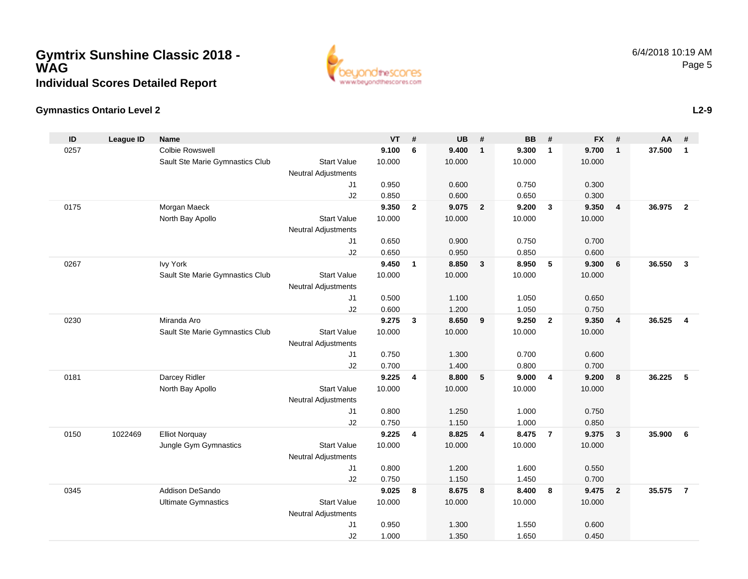### **Gymtrix Sunshine Classic 2018 - WAGIndividual Scores Detailed Report**



### **Gymnastics Ontario Level 2**

| ID   | <b>League ID</b> | <b>Name</b>                     |                            | <b>VT</b> | #              | <b>UB</b> | #                       | <b>BB</b> | #                       | <b>FX</b>      | #                       | <b>AA</b> | #              |
|------|------------------|---------------------------------|----------------------------|-----------|----------------|-----------|-------------------------|-----------|-------------------------|----------------|-------------------------|-----------|----------------|
| 0257 |                  | <b>Colbie Rowswell</b>          |                            | 9.100     | 6              | 9.400     | $\overline{1}$          | 9.300     | $\mathbf{1}$            | 9.700          | $\mathbf{1}$            | 37.500    | $\mathbf{1}$   |
|      |                  | Sault Ste Marie Gymnastics Club | <b>Start Value</b>         | 10.000    |                | 10.000    |                         | 10.000    |                         | 10.000         |                         |           |                |
|      |                  |                                 | <b>Neutral Adjustments</b> |           |                |           |                         |           |                         |                |                         |           |                |
|      |                  |                                 | J <sub>1</sub>             | 0.950     |                | 0.600     |                         | 0.750     |                         | 0.300          |                         |           |                |
|      |                  |                                 | J2                         | 0.850     |                | 0.600     |                         | 0.650     |                         | 0.300          |                         |           |                |
| 0175 |                  | Morgan Maeck                    |                            | 9.350     | $\overline{2}$ | 9.075     | $\overline{\mathbf{2}}$ | 9.200     | $\overline{\mathbf{3}}$ | 9.350          | $\overline{\mathbf{4}}$ | 36.975    | $\overline{2}$ |
|      |                  | North Bay Apollo                | <b>Start Value</b>         | 10.000    |                | 10.000    |                         | 10.000    |                         | 10.000         |                         |           |                |
|      |                  |                                 | <b>Neutral Adjustments</b> |           |                |           |                         |           |                         |                |                         |           |                |
|      |                  |                                 | J <sub>1</sub>             | 0.650     |                | 0.900     |                         | 0.750     |                         | 0.700          |                         |           |                |
|      |                  |                                 | J2                         | 0.650     |                | 0.950     |                         | 0.850     |                         | 0.600          |                         |           |                |
| 0267 |                  | <b>Ivy York</b>                 |                            | 9.450     | $\overline{1}$ | 8.850     | $\mathbf{3}$            | 8.950     | 5                       | 9.300          | 6                       | 36.550    | 3              |
|      |                  | Sault Ste Marie Gymnastics Club | <b>Start Value</b>         | 10.000    |                | 10.000    |                         | 10.000    |                         | 10.000         |                         |           |                |
|      |                  |                                 | <b>Neutral Adjustments</b> |           |                |           |                         |           |                         |                |                         |           |                |
|      |                  |                                 | J <sub>1</sub>             | 0.500     |                | 1.100     |                         | 1.050     |                         | 0.650          |                         |           |                |
|      |                  |                                 | J2                         | 0.600     |                | 1.200     |                         | 1.050     |                         | 0.750          |                         |           |                |
| 0230 |                  | Miranda Aro                     |                            | 9.275     | $\mathbf{3}$   | 8.650     | 9                       | 9.250     | $\overline{2}$          | 9.350          | $\overline{4}$          | 36.525    | $\overline{4}$ |
|      |                  | Sault Ste Marie Gymnastics Club | <b>Start Value</b>         | 10.000    |                | 10.000    |                         | 10.000    |                         | 10.000         |                         |           |                |
|      |                  |                                 | <b>Neutral Adjustments</b> |           |                |           |                         |           |                         |                |                         |           |                |
|      |                  |                                 | J <sub>1</sub>             | 0.750     |                | 1.300     |                         | 0.700     |                         | 0.600          |                         |           |                |
|      |                  |                                 | J2                         | 0.700     |                | 1.400     |                         | 0.800     |                         | 0.700          |                         |           |                |
| 0181 |                  | Darcey Ridler                   |                            | 9.225     | $\overline{4}$ | 8.800     | 5                       | 9.000     | $\overline{4}$          | 9.200          | 8                       | 36.225    | 5              |
|      |                  | North Bay Apollo                | <b>Start Value</b>         | 10.000    |                | 10.000    |                         | 10.000    |                         | 10.000         |                         |           |                |
|      |                  |                                 | <b>Neutral Adjustments</b> |           |                |           |                         |           |                         |                |                         |           |                |
|      |                  |                                 | J1                         | 0.800     |                | 1.250     |                         | 1.000     |                         | 0.750          |                         |           |                |
|      |                  |                                 | J2                         | 0.750     |                | 1.150     |                         | 1.000     |                         | 0.850          |                         |           |                |
| 0150 | 1022469          | <b>Elliot Norquay</b>           |                            | 9.225     | $\overline{4}$ | 8.825     | $\overline{\mathbf{4}}$ | 8.475     | $\overline{7}$          | 9.375          | 3                       | 35.900    | 6              |
|      |                  | Jungle Gym Gymnastics           | <b>Start Value</b>         | 10.000    |                | 10.000    |                         | 10.000    |                         | 10.000         |                         |           |                |
|      |                  |                                 | <b>Neutral Adjustments</b> | 0.800     |                | 1.200     |                         | 1.600     |                         |                |                         |           |                |
|      |                  |                                 | J1<br>J2                   | 0.750     |                | 1.150     |                         | 1.450     |                         | 0.550<br>0.700 |                         |           |                |
| 0345 |                  | Addison DeSando                 |                            | 9.025     | 8              | 8.675     | 8                       | 8.400     | 8                       | 9.475          | $\overline{2}$          | 35.575    | $\overline{7}$ |
|      |                  | <b>Ultimate Gymnastics</b>      | <b>Start Value</b>         | 10.000    |                | 10.000    |                         | 10.000    |                         | 10.000         |                         |           |                |
|      |                  |                                 | <b>Neutral Adjustments</b> |           |                |           |                         |           |                         |                |                         |           |                |
|      |                  |                                 | J <sub>1</sub>             | 0.950     |                | 1.300     |                         | 1.550     |                         | 0.600          |                         |           |                |
|      |                  |                                 | J2                         | 1.000     |                | 1.350     |                         | 1.650     |                         | 0.450          |                         |           |                |
|      |                  |                                 |                            |           |                |           |                         |           |                         |                |                         |           |                |

**L2-9**